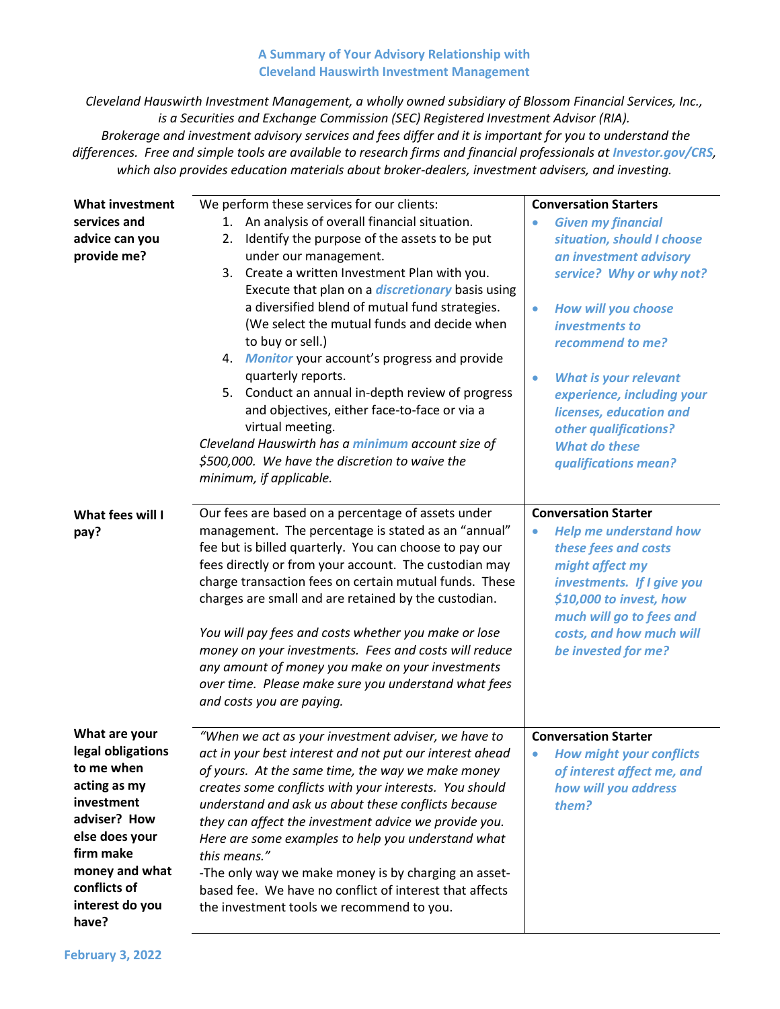## **A Summary of Your Advisory Relationship with Cleveland Hauswirth Investment Management**

*Cleveland Hauswirth Investment Management, a wholly owned subsidiary of Blossom Financial Services, Inc., is a Securities and Exchange Commission (SEC) Registered Investment Advisor (RIA). Brokerage and investment advisory services and fees differ and it is important for you to understand the differences. Free and simple tools are available to research firms and financial professionals at Investor.gov/CRS, which also provides education materials about broker-dealers, investment advisers, and investing.*

| <b>What investment</b><br>services and<br>advice can you<br>provide me?                                                                                                                     | We perform these services for our clients:<br>An analysis of overall financial situation.<br>1.<br>Identify the purpose of the assets to be put<br>2.<br>under our management.<br>3. Create a written Investment Plan with you.<br>Execute that plan on a <i>discretionary</i> basis using<br>a diversified blend of mutual fund strategies.<br>(We select the mutual funds and decide when<br>to buy or sell.)<br>4. Monitor your account's progress and provide<br>quarterly reports.<br>5. Conduct an annual in-depth review of progress<br>and objectives, either face-to-face or via a<br>virtual meeting.<br>Cleveland Hauswirth has a minimum account size of<br>\$500,000. We have the discretion to waive the<br>minimum, if applicable. | <b>Conversation Starters</b><br><b>Given my financial</b><br>$\bullet$<br>situation, should I choose<br>an investment advisory<br>service? Why or why not?<br>How will you choose<br>$\bullet$<br>investments to<br>recommend to me?<br><b>What is your relevant</b><br>$\bullet$<br>experience, including your<br>licenses, education and<br>other qualifications?<br><b>What do these</b><br>qualifications mean? |
|---------------------------------------------------------------------------------------------------------------------------------------------------------------------------------------------|---------------------------------------------------------------------------------------------------------------------------------------------------------------------------------------------------------------------------------------------------------------------------------------------------------------------------------------------------------------------------------------------------------------------------------------------------------------------------------------------------------------------------------------------------------------------------------------------------------------------------------------------------------------------------------------------------------------------------------------------------|---------------------------------------------------------------------------------------------------------------------------------------------------------------------------------------------------------------------------------------------------------------------------------------------------------------------------------------------------------------------------------------------------------------------|
| What fees will I<br>pay?                                                                                                                                                                    | Our fees are based on a percentage of assets under<br>management. The percentage is stated as an "annual"<br>fee but is billed quarterly. You can choose to pay our<br>fees directly or from your account. The custodian may<br>charge transaction fees on certain mutual funds. These<br>charges are small and are retained by the custodian.<br>You will pay fees and costs whether you make or lose<br>money on your investments. Fees and costs will reduce<br>any amount of money you make on your investments<br>over time. Please make sure you understand what fees<br>and costs you are paying.                                                                                                                                          | <b>Conversation Starter</b><br><b>Help me understand how</b><br>$\bullet$<br>these fees and costs<br>might affect my<br>investments. If I give you<br>\$10,000 to invest, how<br>much will go to fees and<br>costs, and how much will<br>be invested for me?                                                                                                                                                        |
| What are your<br>legal obligations<br>to me when<br>acting as my<br>investment<br>adviser? How<br>else does your<br>firm make<br>money and what<br>conflicts of<br>interest do you<br>have? | "When we act as your investment adviser, we have to<br>act in your best interest and not put our interest ahead<br>of yours. At the same time, the way we make money<br>creates some conflicts with your interests. You should<br>understand and ask us about these conflicts because<br>they can affect the investment advice we provide you.<br>Here are some examples to help you understand what<br>this means."<br>-The only way we make money is by charging an asset-<br>based fee. We have no conflict of interest that affects<br>the investment tools we recommend to you.                                                                                                                                                              | <b>Conversation Starter</b><br><b>How might your conflicts</b><br>۰<br>of interest affect me, and<br>how will you address<br>them?                                                                                                                                                                                                                                                                                  |